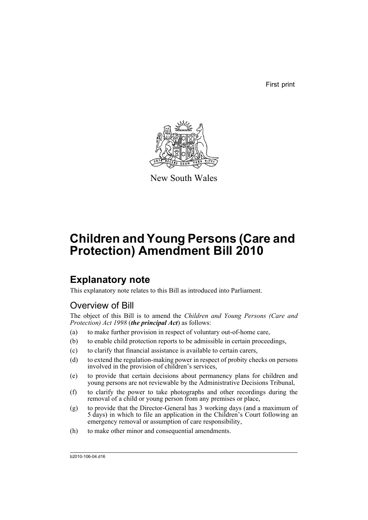First print



New South Wales

# **Children and Young Persons (Care and Protection) Amendment Bill 2010**

## **Explanatory note**

This explanatory note relates to this Bill as introduced into Parliament.

## Overview of Bill

The object of this Bill is to amend the *Children and Young Persons (Care and Protection) Act 1998* (*the principal Act*) as follows:

- (a) to make further provision in respect of voluntary out-of-home care,
- (b) to enable child protection reports to be admissible in certain proceedings,
- (c) to clarify that financial assistance is available to certain carers,
- (d) to extend the regulation-making power in respect of probity checks on persons involved in the provision of children's services,
- (e) to provide that certain decisions about permanency plans for children and young persons are not reviewable by the Administrative Decisions Tribunal,
- (f) to clarify the power to take photographs and other recordings during the removal of a child or young person from any premises or place,
- (g) to provide that the Director-General has 3 working days (and a maximum of 5 days) in which to file an application in the Children's Court following an emergency removal or assumption of care responsibility,
- (h) to make other minor and consequential amendments.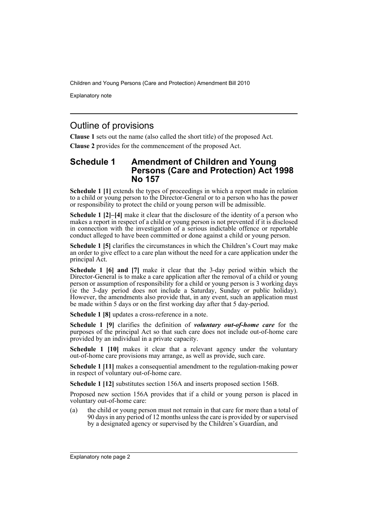Explanatory note

## Outline of provisions

**Clause 1** sets out the name (also called the short title) of the proposed Act.

**Clause 2** provides for the commencement of the proposed Act.

### **Schedule 1 Amendment of Children and Young Persons (Care and Protection) Act 1998 No 157**

**Schedule 1 [1]** extends the types of proceedings in which a report made in relation to a child or young person to the Director-General or to a person who has the power or responsibility to protect the child or young person will be admissible.

**Schedule 1 [2]–[4]** make it clear that the disclosure of the identity of a person who makes a report in respect of a child or young person is not prevented if it is disclosed in connection with the investigation of a serious indictable offence or reportable conduct alleged to have been committed or done against a child or young person.

**Schedule 1 [5]** clarifies the circumstances in which the Children's Court may make an order to give effect to a care plan without the need for a care application under the principal Act.

**Schedule 1 [6] and [7]** make it clear that the 3-day period within which the Director-General is to make a care application after the removal of a child or young person or assumption of responsibility for a child or young person is 3 working days (ie the 3-day period does not include a Saturday, Sunday or public holiday). However, the amendments also provide that, in any event, such an application must be made within 5 days or on the first working day after that 5 day-period.

**Schedule 1 [8]** updates a cross-reference in a note.

**Schedule 1 [9]** clarifies the definition of *voluntary out-of-home care* for the purposes of the principal Act so that such care does not include out-of-home care provided by an individual in a private capacity.

**Schedule 1 [10]** makes it clear that a relevant agency under the voluntary out-of-home care provisions may arrange, as well as provide, such care.

**Schedule 1 [11]** makes a consequential amendment to the regulation-making power in respect of voluntary out-of-home care.

**Schedule 1 [12]** substitutes section 156A and inserts proposed section 156B.

Proposed new section 156A provides that if a child or young person is placed in voluntary out-of-home care:

(a) the child or young person must not remain in that care for more than a total of 90 days in any period of 12 months unless the care is provided by or supervised by a designated agency or supervised by the Children's Guardian, and

Explanatory note page 2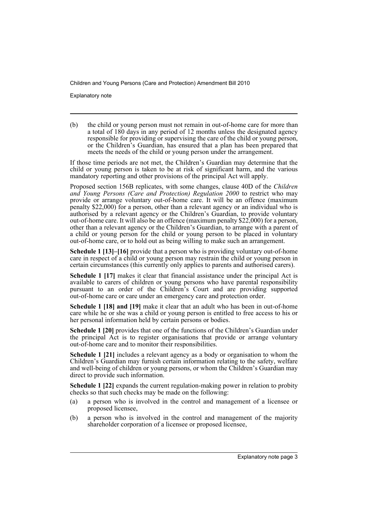Explanatory note

(b) the child or young person must not remain in out-of-home care for more than a total of 180 days in any period of 12 months unless the designated agency responsible for providing or supervising the care of the child or young person, or the Children's Guardian, has ensured that a plan has been prepared that meets the needs of the child or young person under the arrangement.

If those time periods are not met, the Children's Guardian may determine that the child or young person is taken to be at risk of significant harm, and the various mandatory reporting and other provisions of the principal Act will apply.

Proposed section 156B replicates, with some changes, clause 40D of the *Children and Young Persons (Care and Protection) Regulation 2000* to restrict who may provide or arrange voluntary out-of-home care. It will be an offence (maximum penalty \$22,000) for a person, other than a relevant agency or an individual who is authorised by a relevant agency or the Children's Guardian, to provide voluntary out-of-home care. It will also be an offence (maximum penalty \$22,000) for a person, other than a relevant agency or the Children's Guardian, to arrange with a parent of a child or young person for the child or young person to be placed in voluntary out-of-home care, or to hold out as being willing to make such an arrangement.

**Schedule 1 [13]–[16]** provide that a person who is providing voluntary out-of-home care in respect of a child or young person may restrain the child or young person in certain circumstances (this currently only applies to parents and authorised carers).

**Schedule 1 [17]** makes it clear that financial assistance under the principal Act is available to carers of children or young persons who have parental responsibility pursuant to an order of the Children's Court and are providing supported out-of-home care or care under an emergency care and protection order.

**Schedule 1 [18] and [19]** make it clear that an adult who has been in out-of-home care while he or she was a child or young person is entitled to free access to his or her personal information held by certain persons or bodies.

**Schedule 1 [20]** provides that one of the functions of the Children's Guardian under the principal Act is to register organisations that provide or arrange voluntary out-of-home care and to monitor their responsibilities.

**Schedule 1 [21]** includes a relevant agency as a body or organisation to whom the Children's Guardian may furnish certain information relating to the safety, welfare and well-being of children or young persons, or whom the Children's Guardian may direct to provide such information.

**Schedule 1 [22]** expands the current regulation-making power in relation to probity checks so that such checks may be made on the following:

- (a) a person who is involved in the control and management of a licensee or proposed licensee,
- (b) a person who is involved in the control and management of the majority shareholder corporation of a licensee or proposed licensee,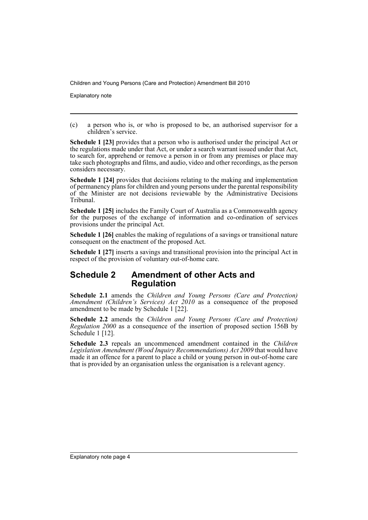Explanatory note

(c) a person who is, or who is proposed to be, an authorised supervisor for a children's service.

**Schedule 1 [23]** provides that a person who is authorised under the principal Act or the regulations made under that Act, or under a search warrant issued under that Act, to search for, apprehend or remove a person in or from any premises or place may take such photographs and films, and audio, video and other recordings, as the person considers necessary.

**Schedule 1 [24]** provides that decisions relating to the making and implementation of permanency plans for children and young persons under the parental responsibility of the Minister are not decisions reviewable by the Administrative Decisions Tribunal.

**Schedule 1 [25]** includes the Family Court of Australia as a Commonwealth agency for the purposes of the exchange of information and co-ordination of services provisions under the principal Act.

**Schedule 1 [26]** enables the making of regulations of a savings or transitional nature consequent on the enactment of the proposed Act.

**Schedule 1 [27]** inserts a savings and transitional provision into the principal Act in respect of the provision of voluntary out-of-home care.

## **Schedule 2 Amendment of other Acts and Regulation**

**Schedule 2.1** amends the *Children and Young Persons (Care and Protection) Amendment (Children's Services) Act 2010* as a consequence of the proposed amendment to be made by Schedule 1 [22].

**Schedule 2.2** amends the *Children and Young Persons (Care and Protection) Regulation 2000* as a consequence of the insertion of proposed section 156B by Schedule 1 [12].

**Schedule 2.3** repeals an uncommenced amendment contained in the *Children Legislation Amendment (Wood Inquiry Recommendations) Act 2009* that would have made it an offence for a parent to place a child or young person in out-of-home care that is provided by an organisation unless the organisation is a relevant agency.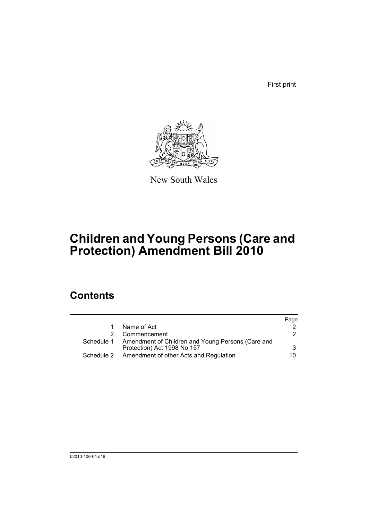First print



New South Wales

# **Children and Young Persons (Care and Protection) Amendment Bill 2010**

## **Contents**

|            |                                                              | Page |
|------------|--------------------------------------------------------------|------|
|            | Name of Act                                                  |      |
|            | Commencement                                                 | 2    |
|            | Schedule 1 Amendment of Children and Young Persons (Care and |      |
|            | Protection) Act 1998 No 157                                  | 3    |
| Schedule 2 | Amendment of other Acts and Regulation                       | 10.  |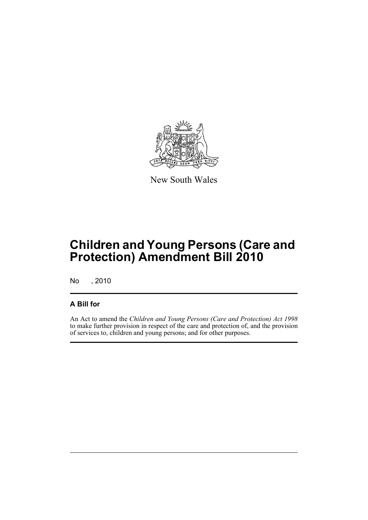

New South Wales

## **Children and Young Persons (Care and Protection) Amendment Bill 2010**

No , 2010

## **A Bill for**

An Act to amend the *Children and Young Persons (Care and Protection) Act 1998* to make further provision in respect of the care and protection of, and the provision of services to, children and young persons; and for other purposes.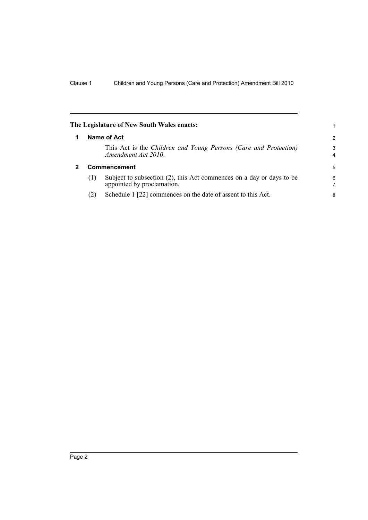<span id="page-7-1"></span><span id="page-7-0"></span>

|              | The Legislature of New South Wales enacts:                                                         | 1      |  |
|--------------|----------------------------------------------------------------------------------------------------|--------|--|
| Name of Act  |                                                                                                    |        |  |
|              | This Act is the Children and Young Persons (Care and Protection)<br>Amendment Act 2010.            | 3<br>4 |  |
| Commencement |                                                                                                    |        |  |
| (1)          | Subject to subsection (2), this Act commences on a day or days to be<br>appointed by proclamation. | 6<br>7 |  |
| (2)          | Schedule 1 [22] commences on the date of assent to this Act.                                       | 8      |  |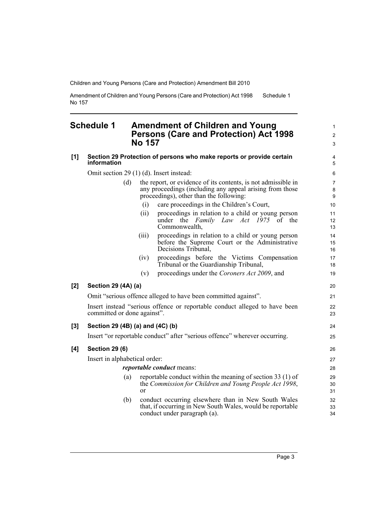Amendment of Children and Young Persons (Care and Protection) Act 1998 No 157 Schedule 1

### <span id="page-8-0"></span>**Schedule 1 Amendment of Children and Young Persons (Care and Protection) Act 1998 No 157**

|     | NO 157                                                                                                                                                                      | $\mathsf 3$                             |  |  |  |
|-----|-----------------------------------------------------------------------------------------------------------------------------------------------------------------------------|-----------------------------------------|--|--|--|
| [1] | Section 29 Protection of persons who make reports or provide certain<br>information                                                                                         | 4<br>5                                  |  |  |  |
|     | Omit section 29 (1) (d). Insert instead:                                                                                                                                    | 6                                       |  |  |  |
|     | the report, or evidence of its contents, is not admissible in<br>(d)<br>any proceedings (including any appeal arising from those<br>proceedings), other than the following: | $\overline{7}$<br>8<br>$\boldsymbol{9}$ |  |  |  |
|     | care proceedings in the Children's Court,<br>(i)                                                                                                                            | 10                                      |  |  |  |
|     | proceedings in relation to a child or young person<br>(ii)<br>under the <i>Family Law Act 1975</i> of the<br>Commonwealth,                                                  | 11<br>12<br>13                          |  |  |  |
|     | proceedings in relation to a child or young person<br>(iii)<br>before the Supreme Court or the Administrative<br>Decisions Tribunal,                                        | 14<br>15<br>16                          |  |  |  |
|     | proceedings before the Victims Compensation<br>(iv)<br>Tribunal or the Guardianship Tribunal,                                                                               | 17<br>18                                |  |  |  |
|     | proceedings under the Coroners Act 2009, and<br>(v)                                                                                                                         | 19                                      |  |  |  |
| [2] | Section 29 (4A) (a)                                                                                                                                                         | 20                                      |  |  |  |
|     | Omit "serious offence alleged to have been committed against".                                                                                                              |                                         |  |  |  |
|     | Insert instead "serious offence or reportable conduct alleged to have been<br>committed or done against".                                                                   |                                         |  |  |  |
| [3] | Section 29 (4B) (a) and (4C) (b)                                                                                                                                            | 24                                      |  |  |  |
|     | Insert "or reportable conduct" after "serious offence" wherever occurring.                                                                                                  | 25                                      |  |  |  |
| [4] | <b>Section 29 (6)</b>                                                                                                                                                       | 26                                      |  |  |  |
|     | Insert in alphabetical order:                                                                                                                                               |                                         |  |  |  |
|     | <i>reportable conduct</i> means:                                                                                                                                            |                                         |  |  |  |
|     | reportable conduct within the meaning of section 33 (1) of<br>(a)<br>the Commission for Children and Young People Act 1998,<br>or                                           | 29<br>30<br>31                          |  |  |  |

(b) conduct occurring elsewhere than in New South Wales that, if occurring in New South Wales, would be reportable conduct under paragraph (a).

1 2 3

32 33 34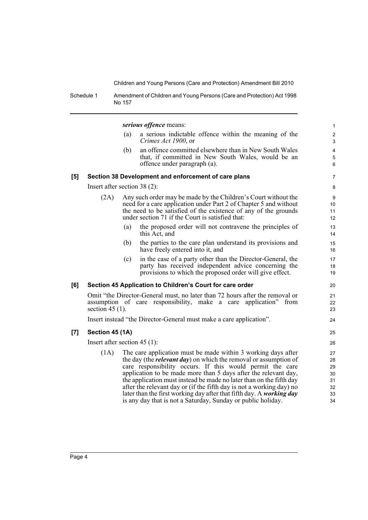Schedule 1 Amendment of Children and Young Persons (Care and Protection) Act 1998 No 157

*serious offence* means:

- (a) a serious indictable offence within the meaning of the *Crimes Act 1900*, or
- (b) an offence committed elsewhere than in New South Wales that, if committed in New South Wales, would be an offence under paragraph (a).

#### **[5] Section 38 Development and enforcement of care plans**

Insert after section 38 (2):

- (2A) Any such order may be made by the Children's Court without the need for a care application under Part 2 of Chapter 5 and without the need to be satisfied of the existence of any of the grounds under section 71 if the Court is satisfied that:
	- (a) the proposed order will not contravene the principles of this Act, and
	- (b) the parties to the care plan understand its provisions and have freely entered into it, and
	- (c) in the case of a party other than the Director-General, the party has received independent advice concerning the provisions to which the proposed order will give effect.

### **[6] Section 45 Application to Children's Court for care order**

Omit "the Director-General must, no later than 72 hours after the removal or assumption of care responsibility, make a care application" from section  $45(1)$ .

Insert instead "the Director-General must make a care application".

### **[7] Section 45 (1A)**

Insert after section 45 (1):

(1A) The care application must be made within 3 working days after the day (the *relevant day*) on which the removal or assumption of care responsibility occurs. If this would permit the care application to be made more than 5 days after the relevant day, the application must instead be made no later than on the fifth day after the relevant day or (if the fifth day is not a working day) no later than the first working day after that fifth day. A *working day* is any day that is not a Saturday, Sunday or public holiday.

7 8

26 27

25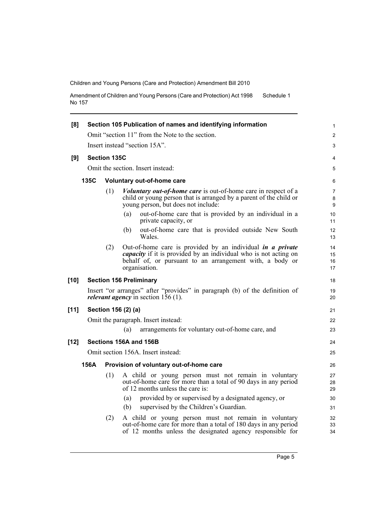Amendment of Children and Young Persons (Care and Protection) Act 1998 No 157 Schedule 1

| [8]    | Section 105 Publication of names and identifying information                                                                                                                              |                                                 |                                                                                                                                                                                                                           |                      |  |  |  |  |  |
|--------|-------------------------------------------------------------------------------------------------------------------------------------------------------------------------------------------|-------------------------------------------------|---------------------------------------------------------------------------------------------------------------------------------------------------------------------------------------------------------------------------|----------------------|--|--|--|--|--|
|        |                                                                                                                                                                                           | Omit "section 11" from the Note to the section. |                                                                                                                                                                                                                           |                      |  |  |  |  |  |
|        | Insert instead "section 15A".                                                                                                                                                             |                                                 |                                                                                                                                                                                                                           |                      |  |  |  |  |  |
| [9]    | <b>Section 135C</b>                                                                                                                                                                       |                                                 |                                                                                                                                                                                                                           |                      |  |  |  |  |  |
|        |                                                                                                                                                                                           |                                                 | Omit the section. Insert instead:                                                                                                                                                                                         | 5                    |  |  |  |  |  |
|        | 135C                                                                                                                                                                                      |                                                 | Voluntary out-of-home care                                                                                                                                                                                                | 6                    |  |  |  |  |  |
|        | (1)<br><i>Voluntary out-of-home care</i> is out-of-home care in respect of a<br>child or young person that is arranged by a parent of the child or<br>young person, but does not include: |                                                 |                                                                                                                                                                                                                           |                      |  |  |  |  |  |
|        |                                                                                                                                                                                           |                                                 | (a)<br>out-of-home care that is provided by an individual in a<br>private capacity, or                                                                                                                                    | 10<br>11             |  |  |  |  |  |
|        |                                                                                                                                                                                           |                                                 | out-of-home care that is provided outside New South<br>(b)<br>Wales.                                                                                                                                                      | 12<br>13             |  |  |  |  |  |
|        |                                                                                                                                                                                           | (2)                                             | Out-of-home care is provided by an individual <i>in a private</i><br><i>capacity</i> if it is provided by an individual who is not acting on<br>behalf of, or pursuant to an arrangement with, a body or<br>organisation. | 14<br>15<br>16<br>17 |  |  |  |  |  |
| $[10]$ |                                                                                                                                                                                           |                                                 | <b>Section 156 Preliminary</b>                                                                                                                                                                                            | 18                   |  |  |  |  |  |
|        | Insert "or arranges" after "provides" in paragraph (b) of the definition of<br><i>relevant agency</i> in section $156(1)$ .                                                               |                                                 |                                                                                                                                                                                                                           |                      |  |  |  |  |  |
| $[11]$ | Section 156 (2) (a)                                                                                                                                                                       |                                                 |                                                                                                                                                                                                                           |                      |  |  |  |  |  |
|        | Omit the paragraph. Insert instead:                                                                                                                                                       |                                                 |                                                                                                                                                                                                                           |                      |  |  |  |  |  |
|        |                                                                                                                                                                                           |                                                 | arrangements for voluntary out-of-home care, and<br>(a)                                                                                                                                                                   | 23                   |  |  |  |  |  |
| $[12]$ |                                                                                                                                                                                           |                                                 | Sections 156A and 156B                                                                                                                                                                                                    | 24                   |  |  |  |  |  |
|        |                                                                                                                                                                                           |                                                 | Omit section 156A. Insert instead:                                                                                                                                                                                        | 25                   |  |  |  |  |  |
|        | 156A                                                                                                                                                                                      |                                                 | Provision of voluntary out-of-home care                                                                                                                                                                                   | 26                   |  |  |  |  |  |
|        |                                                                                                                                                                                           | (1)                                             | A child or young person must not remain in voluntary<br>out-of-home care for more than a total of 90 days in any period<br>of 12 months unless the care is:                                                               | 27<br>28<br>29       |  |  |  |  |  |
|        |                                                                                                                                                                                           |                                                 | provided by or supervised by a designated agency, or<br>(a)                                                                                                                                                               | 30                   |  |  |  |  |  |
|        |                                                                                                                                                                                           |                                                 | supervised by the Children's Guardian.<br>(b)                                                                                                                                                                             | 31                   |  |  |  |  |  |
|        |                                                                                                                                                                                           | (2)                                             | A child or young person must not remain in voluntary<br>out-of-home care for more than a total of 180 days in any period<br>of 12 months unless the designated agency responsible for                                     | 32<br>33<br>34       |  |  |  |  |  |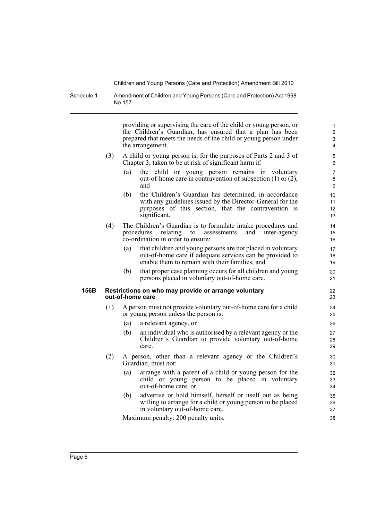Schedule 1 Amendment of Children and Young Persons (Care and Protection) Act 1998 No 157

> providing or supervising the care of the child or young person, or the Children's Guardian, has ensured that a plan has been prepared that meets the needs of the child or young person under the arrangement.

- (3) A child or young person is, for the purposes of Parts 2 and 3 of Chapter 3, taken to be at risk of significant harm if:
	- (a) the child or young person remains in voluntary out-of-home care in contravention of subsection (1) or (2), and
	- (b) the Children's Guardian has determined, in accordance with any guidelines issued by the Director-General for the purposes of this section, that the contravention is significant.
- (4) The Children's Guardian is to formulate intake procedures and procedures relating to assessments and inter-agency co-ordination in order to ensure:
	- (a) that children and young persons are not placed in voluntary out-of-home care if adequate services can be provided to enable them to remain with their families, and
	- (b) that proper case planning occurs for all children and young persons placed in voluntary out-of-home care.

#### **156B Restrictions on who may provide or arrange voluntary out-of-home care**

- (1) A person must not provide voluntary out-of-home care for a child or young person unless the person is:
	- (a) a relevant agency, or
	- (b) an individual who is authorised by a relevant agency or the Children's Guardian to provide voluntary out-of-home care.
- (2) A person, other than a relevant agency or the Children's Guardian, must not:
	- (a) arrange with a parent of a child or young person for the child or young person to be placed in voluntary out-of-home care, or
	- (b) advertise or hold himself, herself or itself out as being willing to arrange for a child or young person to be placed in voluntary out-of-home care.

Maximum penalty: 200 penalty units.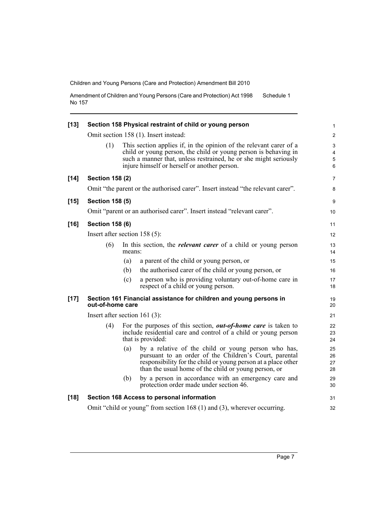Amendment of Children and Young Persons (Care and Protection) Act 1998 No 157 Schedule 1

| $[13]$ | Section 158 Physical restraint of child or young person                         |        |                                                                                                                                                                                                                                                           |                                      |  |
|--------|---------------------------------------------------------------------------------|--------|-----------------------------------------------------------------------------------------------------------------------------------------------------------------------------------------------------------------------------------------------------------|--------------------------------------|--|
|        |                                                                                 |        | Omit section 158 (1). Insert instead:                                                                                                                                                                                                                     | $\overline{2}$                       |  |
|        | (1)                                                                             |        | This section applies if, in the opinion of the relevant carer of a<br>child or young person, the child or young person is behaving in<br>such a manner that, unless restrained, he or she might seriously<br>injure himself or herself or another person. | $\mathsf 3$<br>4<br>$\mathbf 5$<br>6 |  |
| $[14]$ | <b>Section 158 (2)</b>                                                          |        |                                                                                                                                                                                                                                                           | $\overline{7}$                       |  |
|        | Omit "the parent or the authorised carer". Insert instead "the relevant carer". |        |                                                                                                                                                                                                                                                           |                                      |  |
| $[15]$ | <b>Section 158 (5)</b>                                                          |        |                                                                                                                                                                                                                                                           | 9                                    |  |
|        |                                                                                 |        | Omit "parent or an authorised carer". Insert instead "relevant carer".                                                                                                                                                                                    | 10                                   |  |
| $[16]$ | <b>Section 158 (6)</b>                                                          |        |                                                                                                                                                                                                                                                           |                                      |  |
|        | Insert after section $158(5)$ :                                                 |        |                                                                                                                                                                                                                                                           |                                      |  |
|        | (6)                                                                             | means: | In this section, the <i>relevant carer</i> of a child or young person                                                                                                                                                                                     | 13<br>14                             |  |
|        |                                                                                 | (a)    | a parent of the child or young person, or                                                                                                                                                                                                                 | 15                                   |  |
|        |                                                                                 | (b)    | the authorised carer of the child or young person, or                                                                                                                                                                                                     | 16                                   |  |
|        |                                                                                 | (c)    | a person who is providing voluntary out-of-home care in<br>respect of a child or young person.                                                                                                                                                            | 17<br>18                             |  |
| $[17]$ | out-of-home care                                                                |        | Section 161 Financial assistance for children and young persons in                                                                                                                                                                                        | 19<br>20                             |  |
|        | Insert after section 161 $(3)$ :                                                |        |                                                                                                                                                                                                                                                           |                                      |  |
|        | (4)                                                                             |        | For the purposes of this section, <i>out-of-home care</i> is taken to<br>include residential care and control of a child or young person<br>that is provided:                                                                                             | 22<br>23<br>24                       |  |
|        |                                                                                 | (a)    | by a relative of the child or young person who has,<br>pursuant to an order of the Children's Court, parental<br>responsibility for the child or young person at a place other<br>than the usual home of the child or young person, or                    | 25<br>26<br>27<br>28                 |  |
|        |                                                                                 | (b)    | by a person in accordance with an emergency care and<br>protection order made under section 46.                                                                                                                                                           | 29<br>30                             |  |
| $[18]$ |                                                                                 |        | Section 168 Access to personal information                                                                                                                                                                                                                | 31                                   |  |
|        | Omit "child or young" from section 168 (1) and (3), wherever occurring.         |        |                                                                                                                                                                                                                                                           |                                      |  |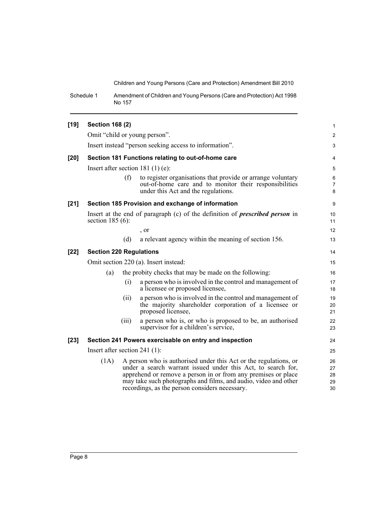Schedule 1 Amendment of Children and Young Persons (Care and Protection) Act 1998 No 157

| $[19]$ | <b>Section 168 (2)</b>                                                                                    |                                                                                                                                                                                                                                                                                                                        |                                                                                                                                                              | $\mathbf{1}$             |  |
|--------|-----------------------------------------------------------------------------------------------------------|------------------------------------------------------------------------------------------------------------------------------------------------------------------------------------------------------------------------------------------------------------------------------------------------------------------------|--------------------------------------------------------------------------------------------------------------------------------------------------------------|--------------------------|--|
|        |                                                                                                           |                                                                                                                                                                                                                                                                                                                        | Omit "child or young person".                                                                                                                                | $\overline{2}$           |  |
|        | Insert instead "person seeking access to information".                                                    |                                                                                                                                                                                                                                                                                                                        |                                                                                                                                                              | 3                        |  |
| $[20]$ |                                                                                                           |                                                                                                                                                                                                                                                                                                                        | Section 181 Functions relating to out-of-home care                                                                                                           | 4                        |  |
|        | Insert after section 181 $(1)$ $(e)$ :                                                                    |                                                                                                                                                                                                                                                                                                                        |                                                                                                                                                              |                          |  |
|        |                                                                                                           | (f)                                                                                                                                                                                                                                                                                                                    | to register organisations that provide or arrange voluntary<br>out-of-home care and to monitor their responsibilities<br>under this Act and the regulations. | 6<br>$\overline{7}$<br>8 |  |
| $[21]$ |                                                                                                           |                                                                                                                                                                                                                                                                                                                        | Section 185 Provision and exchange of information                                                                                                            | 9                        |  |
|        | Insert at the end of paragraph (c) of the definition of <i>prescribed person</i> in<br>section $185(6)$ : |                                                                                                                                                                                                                                                                                                                        |                                                                                                                                                              |                          |  |
|        |                                                                                                           |                                                                                                                                                                                                                                                                                                                        | $\cdot$ or                                                                                                                                                   | 12                       |  |
|        |                                                                                                           | (d)                                                                                                                                                                                                                                                                                                                    | a relevant agency within the meaning of section 156.                                                                                                         | 13                       |  |
| $[22]$ | <b>Section 220 Regulations</b>                                                                            |                                                                                                                                                                                                                                                                                                                        |                                                                                                                                                              |                          |  |
|        | Omit section 220 (a). Insert instead:                                                                     |                                                                                                                                                                                                                                                                                                                        |                                                                                                                                                              |                          |  |
|        | (a)                                                                                                       |                                                                                                                                                                                                                                                                                                                        | the probity checks that may be made on the following:                                                                                                        | 16                       |  |
|        |                                                                                                           | (i)                                                                                                                                                                                                                                                                                                                    | a person who is involved in the control and management of<br>a licensee or proposed licensee,                                                                | 17<br>18                 |  |
|        |                                                                                                           | (ii)                                                                                                                                                                                                                                                                                                                   | a person who is involved in the control and management of<br>the majority shareholder corporation of a licensee or<br>proposed licensee,                     | 19<br>20<br>21           |  |
|        |                                                                                                           | (iii)                                                                                                                                                                                                                                                                                                                  | a person who is, or who is proposed to be, an authorised<br>supervisor for a children's service,                                                             | 22<br>23                 |  |
| $[23]$ | Section 241 Powers exercisable on entry and inspection                                                    |                                                                                                                                                                                                                                                                                                                        |                                                                                                                                                              |                          |  |
|        | Insert after section 241 $(1)$ :                                                                          |                                                                                                                                                                                                                                                                                                                        |                                                                                                                                                              |                          |  |
|        | (1A)                                                                                                      | A person who is authorised under this Act or the regulations, or<br>under a search warrant issued under this Act, to search for,<br>apprehend or remove a person in or from any premises or place<br>may take such photographs and films, and audio, video and other<br>recordings, as the person considers necessary. |                                                                                                                                                              |                          |  |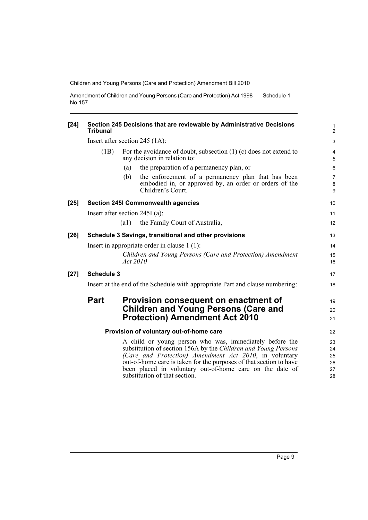Amendment of Children and Young Persons (Care and Protection) Act 1998 No 157 Schedule 1

| $[24]$ | Section 245 Decisions that are reviewable by Administrative Decisions<br><b>Tribunal</b> |                                                                                                     |                                                                                                                                                                                                                                                                                                                                                        |                                  |  |
|--------|------------------------------------------------------------------------------------------|-----------------------------------------------------------------------------------------------------|--------------------------------------------------------------------------------------------------------------------------------------------------------------------------------------------------------------------------------------------------------------------------------------------------------------------------------------------------------|----------------------------------|--|
|        | Insert after section $245$ (1A):                                                         |                                                                                                     |                                                                                                                                                                                                                                                                                                                                                        |                                  |  |
|        | (1B)                                                                                     | For the avoidance of doubt, subsection $(1)$ (c) does not extend to<br>any decision in relation to: |                                                                                                                                                                                                                                                                                                                                                        |                                  |  |
|        |                                                                                          | (a)                                                                                                 | the preparation of a permanency plan, or                                                                                                                                                                                                                                                                                                               | 6                                |  |
|        |                                                                                          | (b)                                                                                                 | the enforcement of a permanency plan that has been<br>embodied in, or approved by, an order or orders of the<br>Children's Court.                                                                                                                                                                                                                      | $\overline{7}$<br>8<br>9         |  |
| $[25]$ | <b>Section 245I Commonwealth agencies</b>                                                |                                                                                                     |                                                                                                                                                                                                                                                                                                                                                        |                                  |  |
|        | Insert after section $245I$ (a):                                                         |                                                                                                     |                                                                                                                                                                                                                                                                                                                                                        | 11                               |  |
|        |                                                                                          | (a1)                                                                                                | the Family Court of Australia,                                                                                                                                                                                                                                                                                                                         | 12 <sup>2</sup>                  |  |
| $[26]$ | Schedule 3 Savings, transitional and other provisions                                    |                                                                                                     |                                                                                                                                                                                                                                                                                                                                                        |                                  |  |
|        | Insert in appropriate order in clause 1 (1):                                             |                                                                                                     |                                                                                                                                                                                                                                                                                                                                                        |                                  |  |
|        |                                                                                          | Act 2010                                                                                            | Children and Young Persons (Care and Protection) Amendment                                                                                                                                                                                                                                                                                             | 15<br>16                         |  |
| $[27]$ | <b>Schedule 3</b>                                                                        |                                                                                                     |                                                                                                                                                                                                                                                                                                                                                        | 17                               |  |
|        | Insert at the end of the Schedule with appropriate Part and clause numbering:            |                                                                                                     |                                                                                                                                                                                                                                                                                                                                                        |                                  |  |
|        | <b>Part</b>                                                                              |                                                                                                     | Provision consequent on enactment of                                                                                                                                                                                                                                                                                                                   | 19                               |  |
|        | <b>Children and Young Persons (Care and</b>                                              |                                                                                                     |                                                                                                                                                                                                                                                                                                                                                        | 20                               |  |
|        |                                                                                          |                                                                                                     | <b>Protection) Amendment Act 2010</b>                                                                                                                                                                                                                                                                                                                  | 21                               |  |
|        | Provision of voluntary out-of-home care                                                  |                                                                                                     |                                                                                                                                                                                                                                                                                                                                                        |                                  |  |
|        |                                                                                          |                                                                                                     | A child or young person who was, immediately before the<br>substitution of section 156A by the Children and Young Persons<br>(Care and Protection) Amendment Act 2010, in voluntary<br>out-of-home care is taken for the purposes of that section to have<br>been placed in voluntary out-of-home care on the date of<br>substitution of that section. | 23<br>24<br>25<br>26<br>27<br>28 |  |